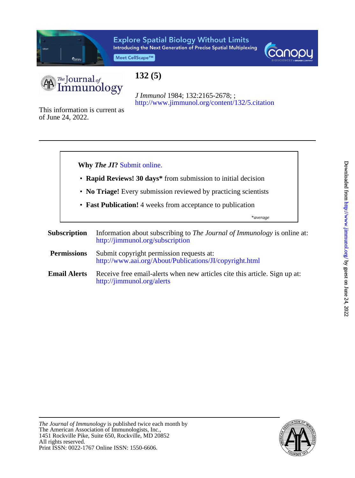

# **Explore Spatial Biology Without Limits** Introducing the Next Generation of Precise Spatial Multiplexing

Meet CellScape™





# **132 (5)**

<http://www.jimmunol.org/content/132/5.citation> *J Immunol* 1984; 132:2165-2678; ;

of June 24, 2022. This information is current as



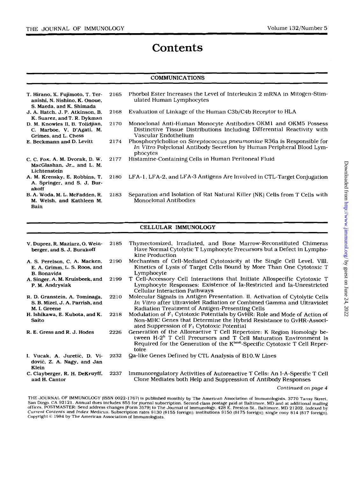# **Contents**

# **COMMUNICATIONS**

| T. Hirano, K. Fujimoto, T. Ter-<br>anishi, N. Nishino, K. Onoue,<br>S. Maeda, and K. Shimada | 2165 | Phorbol Ester Increases the Level of Interleukin 2 mRNA in Mitogen-Stim-<br>ulated Human Lymphocytes                                                               |
|----------------------------------------------------------------------------------------------|------|--------------------------------------------------------------------------------------------------------------------------------------------------------------------|
| J. A. Hatch, J. P. Atkinson, B.<br>K. Suarez, and T. R. Dykman                               | 2168 | Evaluation of Linkage of the Human C3b/C4b Receptor to HLA                                                                                                         |
| D. M. Knowles II, B. Tolidjian,<br>C. Marboe, V. D'Agati, M.<br>Grimes, and L. Chess         | 2170 | Monoclonal Anti-Human Monocyte Antibodies OKM1 and OKM5 Possess<br>Distinctive Tissue Distributions Including Differential Reactivity with<br>Vascular Endothelium |
| E. Beckmann and D. Levitt                                                                    | 2174 | Phosphorylcholine on Streptococcus pneumoniae R36a is Responsible for<br>In Vitro Polyclonal Antibody Secretion by Human Peripheral Blood Lym-<br>phocytes         |
| C. C. Fox, A. M. Dvorak, D. W.<br>MacGlashan, Jr., and L. M.<br>Lichtenstein                 | 2177 | Histamine-Containing Cells in Human Peritoneal Fluid                                                                                                               |
| A. M. Krensky, E. Robbins, T.<br>A. Springer, and S. J. Bur-<br>akoff                        | 2180 | LFA-1, LFA-2, and LFA-3 Antigens Are Involved in CTL-Target Conjugation                                                                                            |
| B. A. Woda, M. L. McFadden, R.<br>M. Welsh, and Kathleen M.<br>Bain                          | 2183 | Separation and Isolation of Rat Natural Killer (NK) Cells from T Cells with<br><b>Monoclonal Antibodies</b>                                                        |

## CELLULAR IMMUNOLOGY

| V. Duprez, R. Maziarz, O. Wein-<br>berger, and S. J. Burakoff                       | 2185 | Thymectomized, Irradiated, and Bone Marrow-Reconstituted Chimeras<br>Have Normal Cytolytic T Lymphocyte Precursors but a Defect in Lympho-<br>kine Production                                                                                              |
|-------------------------------------------------------------------------------------|------|------------------------------------------------------------------------------------------------------------------------------------------------------------------------------------------------------------------------------------------------------------|
| A. S. Perelson, C. A. Macken,<br>E. A. Grimm, L. S. Roos, and<br><b>B.</b> Bonavida | 2190 | Mechanism of Cell-Mediated Cytotoxicity at the Single Cell Level. VIII.<br>Kinetics of Lysis of Target Cells Bound by More Than One Cytotoxic T<br>Lymphocyte                                                                                              |
| A. Singer, A. M. Kruisbeek, and<br>P. M. Andrysiak                                  | 2199 | T Cell-Accessory Cell Interactions that Initiate Allospecific Cytotoxic T<br>Lymphocyte Responses: Existence of Ia-Restricted and Ia-Unrestricted<br><b>Cellular Interaction Pathways</b>                                                                  |
| R. D. Granstein, A. Tominaga,<br>S. B. Mizel, J. A. Parrish, and<br>M. I. Greene    | 2210 | Molecular Signals in Antigen Presentation. II. Activation of Cytolytic Cells<br>In Vitro after Ultraviolet Radiation or Combined Gamma and Ultraviolet<br>Radiation Treatment of Antigen-Presenting Cells                                                  |
| H. Ishikawa, E. Kubota, and K.<br>Saito                                             | 2218 | Modulation of $F_1$ Cytotoxic Potentials by GvHR: Role and Mode of Action of<br>Non-MHC Genes that Determine the Hybrid Resistance to GvHR-Associ-<br>ated Suppression of $F_1$ Cytotoxic Potential                                                        |
| R. E. Gress and R. J. Hodes                                                         | 2226 | Generation of the Alloreactive T Cell Repertoire: K Region Homology be-<br>tween H-2 <sup>b</sup> T Cell Precursors and T Cell Maturation Environment Is<br>Required for the Generation of the K <sup>bm6</sup> -Specific Cytotoxic T Cell Reper-<br>toire |
| I. Vucak, A. Juretić, D. Vi-<br>dović, Z. A. Nagy, and Jan<br>Klein                 | 2232 | Qa-like Genes Defined by CTL Analysis of B10.W Lines                                                                                                                                                                                                       |
| C. Clayberger, R. H. DeKruyff,<br>and H. Cantor                                     | 2237 | Immunoregulatory Activities of Autoreactive T Cells: An I-A-Specific T Cell<br>Clone Mediates both Help and Suppression of Antibody Responses                                                                                                              |

#### *Continued* on *page 4*

THE JOURNAL OF IMMUNOLOGY (ISSN 0022-1767) is published monthly by The American Association of Immunologists, 3770 Tansy Street, San Diego, CA 92121. Annual dues includes \$55 for journal subscription. Second class postage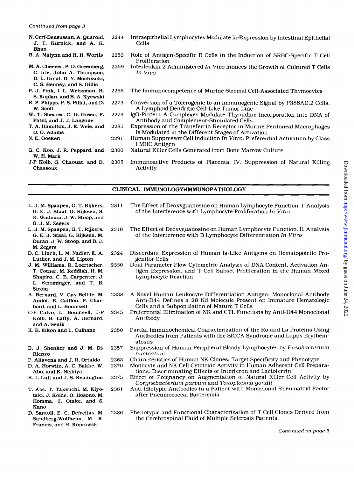N. Cerf-Bensussan. A. Quaroni, J. T. Kurnick, and A. K. Bhan B. A. Malynn and **H. H.** Wortis

2253

- **M.** A. Cheever, P. D. Greenberg. C. Irle. John **A.** Thompson, D. L. Urdal, **D. Y.** Mochizuki, C. *S.* Henney, and *S.* Gillis 2259
- P. J. Fink, **I. L.** Weissman. **H.**  *S.* Kaplan, and B. A. Kyewski
- R. P. Phipps. P. *S.* Pillai, and D. w. Scott 2273
- W. T. Shearer, *C.* G. Green, **P.**  Patel, and J. J. Langone 2279
- T. A. Hamilton, J. **E.** Weie. and D. *0.* Adams 2285 229 1
- **N. E.** Goeken
- G. *C.* Koo, J. R. Peppard. and **W.** H. Mark 2300
- J-P Kolb, *G.* Chaouat, and D. Chassoux 2305
- 2244 Intraepithelial Lymphocytes Modulate Ia-Expression by Intestinal Epithelial Cells
	- Role of Antigen-Specific B Cells in the Induction of SRBC-Specific T Cell Proliferation
	- Interleukin 2 Administered *In Vivo* Induces the Growth of Cultured T Cells *In Vivo*
- 2266 The Immunocompetence of Murine Stromal Cell-Associated Thymocytes
	- Conversion of a Tolerogenic to an Immunogenic Signal by P388AD.2 Cells, A Lymphoid Dendritic Cell-Like Tumor Line
	- IgC-Protein **A** Complexes Modulate Thymidine Incorporation into DNA of Antibody and Complement-Stimulated Cells
	- Expression of the Transferrin Receptor in Murine Peritoneal Macrophages Is Modulated in the Different Stages of Activation
		- Human Suppressor Cell Induction *In Vitro:* Preferential Activation by Class I MHC Antigen
		- Natural Killer Cells Generated from Bone Marrow Culture
		- Immunoactive Products of Placenta. IV. Suppression of Natural Killing Activity

#### **CLINICAL IMMUNOLOGY\*IMMUNOPATHOLOGY**

- L. J. M. Spaapen, *G.* T. Rijkers. G. **E.** J. Staal, G. Rijksen, *S.*  K. Wadman, J. W. Stoop, and B. J. M. Zegers
- **L.** J. M. Spaapen, G. T. Rijkers, *G.* E. J. Staal, G. Rijksen, M. Duran, J. W. Stoop, and B. J. M. Zegers
- D. C. Linch, L. M. Nadler, E. A. Luther, and J. M. Lipton
- J. M. Williams, R. Loertscher, T. Cotner, M. Reddish, **H. M.**  Shapiro, C. B. Carpenter, J. **L.** Strominger, and T. B. Strom
- A. Bernard, **V.** Gay-Bellile, M. Amiot, B. Caillou, P. Charbord, and L. Boumsell
- C-F Calvo, L. Boumsell, J-P Kolb, B. Laffy, A. Bernard, and A. Senik
- K. B. Elkon and L. Culhane
- B. J. Shenker and J. **M.** Di-Rienzo
- P. Allavena and J. R. Ortaldo
- D. A. Horwitz, A. C. Bakke, W. Abo, and K. Nishiya
- B. J. Luft and J. *S.* Remington
- T. Abe, T. Takeuchi, M. Kiyotaki, J. Koide, *0.* **Hosono,** M. Aomma, T. Otake, and *S.*  Kano
- D. Santoli, **E.** C. Defreitas, M. Sandberg-Wollheim, **M.** K. Francis, and **H.** Koprowski
- 2311 The Effect of Deoxyguanosine on Human Lymphocyte Function. I. Analysis of the Interference with Lymphocyte Proliferation *In Vitro*
- 2318 The Effect of Deoxyguanosine on Human Lymphocyte Function. 11. Analysis of the Interference with B Lymphocyte Differentiation *In Vitro*
- 2324 Discordant Expression of Human Ia-Like Antigens on Hematopoietic Progenitor Cells
- 2330 Dual Parameter Flow Cytometric Analysis of DNA Content, Activation Antigen Expression, and T Cell Subset Proliferation in the Human Mixed Lymphocyte Reaction
- 2338 A Novel Human Leukocyte Differentiation Antigen: Monoclonal Antibody Anti-D44 Defines a 28 Kd Molecule Present on Immature Hematologic Cells and a Subpopulation of Mature T Cells
- 2345 Preferential Elimination of NK and CTL Functions by Anti-D44 Monoclonal Antibody
- 2350 Partial Immunochemical Characterization of the Ro and La Proteins Using Antibodies from Patients with the SICCA Syndrome and Lupus Erythematosus
- 2357 Suppression of Human Peripheral Bloody Lymphocytes by *Fusobacterium nucleatum*
- 2363 Characteristics of Human NK Clones: Target Specificity and Phenotype
- 2370 Monocyte and NK Cell Cytotoxic Activity in Human Adherent Cell Preparations: Discriminating Effects of Interferon and Lactoferrin
- 2375 Effect of Pregnancy on Augmentation of Natural Killer Cell Activity by *Corynebacterium parvum* and *Toxoplasma gondii*

2381 Anti-Idiotypic Antibodies in a Patient with Monoclonal Rheumatoid Factor after Pneumococcal Bacteremia

2386 Phenotypic and Functional Characterization of T Cell Clones Derived from the Cerebrospinal Fluid of Multiple Sclerosis Patients

*Continued on page 5*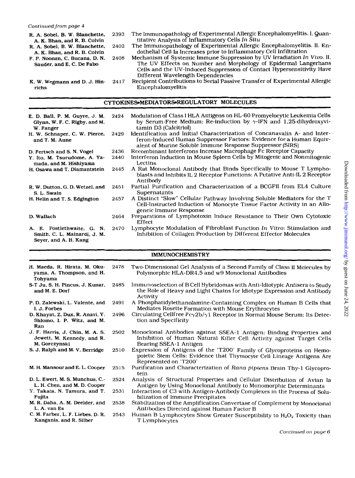- R. A. Sobel. **B.** W. Blanchette. A. **K.** Bhan, and **R.** B. Colvin
- **R.** A. Sobel, B. W. Blanchette, A. K. Bhan, and **R.** B. Colvin

K. W. Wegmann and **D.** J. Hin-

richs

- F. P. Noonan. C. Bucana. D. **N.**  Sauder, and E. C. **De** Fabo
- 2393 The Immunopathology of Experimental Allergic Encephalomyelitis. **I.** Quantitative Analysis of Inflammatory Cells *In* **Situ**

2402 The Immunopathology of Experimental Allergic Encephalomyelitis. **11.** Endothelial Cell Ia Increases prior to Inflammatory Cell Infiltration

- 2408 Mechanism of Systemic Immune Suppression by UV Irradiation *In* Vivo. **11.**  The UV Effects on Number and Morphology of Epidermal Langerhans Cells and the UV-Induced Suppression of Contact Hypersensitivity Have Different Wavelength Dependencies
- 24 17 Recipient Contributions to Serial Passive Transfer of Experimental Allergic Encephalomyelitis

| E. D. Ball, P. M. Guyre, J. M.<br>Glynn, W. F. C. Rigby, and M.<br>W. Fanger        | 2424 | Modulation of Class I HLA Antigens on HL-60 Promyelocytic Leukemia Cells<br>by Serum-Free Medium: Re-induction by $\gamma$ -IFN and 1,25-dihydroxyvi-<br>tamin D3 (Calcitriol)                                |
|-------------------------------------------------------------------------------------|------|---------------------------------------------------------------------------------------------------------------------------------------------------------------------------------------------------------------|
| H. W. Schnaper, C. W. Pierce,<br>and T. M. Aune                                     | 2429 | Identification and Initial Characterization of Concanavalin A- and Inter-<br>feron-Induced Human Suppressor Factors: Evidence for a Human Equiv-<br>alent of Murine Soluble Immune Response Suppressor (SIRS) |
| D. Fertsch and S. N. Vogel                                                          | 2436 | Recombinant Interferons Increase Macrophage Fc Receptor Capacity                                                                                                                                              |
| Y. Ito, M. Tsurudome, A. Ya-<br>mada, and M. Hishiyama                              | 2440 | Interferon Induction in Mouse Spleen Cells by Mitogenic and Nonmitogenic<br>Lectins                                                                                                                           |
| H. Osawa and T. Diamantstein                                                        | 2445 | A Rat Monoclonal Antibody that Binds Specifically to Mouse T Lympho-<br>blasts and Inhibits IL 2 Receptor Functions: A Putative Anti-IL 2 Receptor<br>Antibody                                                |
| R. W. Dutton, G. D. Wetzel, and<br>S. L. Swain                                      | 2451 | Partial Purification and Characterization of a BCGFII from EL4 Culture<br>Supernatants                                                                                                                        |
| H. Helin and T. S. Edgington                                                        | 2457 | A Distinct "Slow" Cellular Pathway Involving Soluble Mediators for the T<br>Cell-Instructed Induction of Monocyte Tissue Factor Activity in an Allo-<br>geneic Immune Response                                |
| D. Wallach                                                                          | 2464 | Preparations of Lymphotoxin Induce Resistance to Their Own Cytotoxic<br>Effect                                                                                                                                |
| A. E. Postlethwaite, G. N.<br>Smith, C. L. Mainardi, J. M.<br>Seyer, and A. H. Kang | 2470 | Lymphocyte Modulation of Fibroblast Function In Vitro: Stimulation and<br>Inhibition of Collagen Production by Different Effector Molecules                                                                   |

CYTOKINES.MEDIATORS.REGULATORY MOLECULES

### IMMUNOCHEMISTRY

| H. Maeda, R. Hirata, M. Oku-<br>yama, A. Thompson, and H.<br>Tohyama           | 2478 | Two-Dimensional Gel Analysis of a Second Family of Class II Molecules by<br>Polymorphic HLA-DR4,5 and w9 Monoclonal Antibodies                                          |
|--------------------------------------------------------------------------------|------|-------------------------------------------------------------------------------------------------------------------------------------------------------------------------|
| S-T Ju, S. H. Pincus, J. Kunar,<br>and M. E. Dorf                              | 2485 | Immunoselection of B Cell Hybridomas with Anti-Idiotypic Antisera to Study<br>the Role of Heavy and Light Chains for Idiotype Expression and Antibody<br>Activity       |
| P. D. Zalewski, L. Valente, and<br>I. J. Forbes                                | 2491 | A Phosphatidylethanolamine-Containing Complex on Human B Cells that<br>Mediates Rosette Formation with Mouse Erythrocytes                                               |
| D. Khayat, Z. Dux, R. Anavi, Y.<br>Shlomo, I. P. Witz, and M.<br>Ran           | 2496 | Circulating Cellfree $Fc\gamma 2b/\gamma 1$ Receptor in Normal Mouse Serum: Its Detec-<br>tion and Specificity                                                          |
| J. F. Harris, J. Chin, M. A. S.<br>Jewett, M. Kennedy, and R.<br>M. Gorczynski | 2502 | Monoclonal Antibodies against SSEA-1 Antigen: Binding Properties and<br>Inhibition of Human Natural Killer Cell Activity against Target Cells<br>Bearing SSEA-1 Antigen |
| S. J. Ralph and M. V. Berridge                                                 | 2510 | Expression of Antigens of the 'T200' Family of Glycoproteins on Hemo-<br>poietic Stem Cells: Evidence that Thymocyte Cell Lineage Antigens Are<br>Represented on 'T200' |
| M. H. Mansour and E. L. Cooper                                                 | 2515 | Purification and Characterization of Rana pipiens Brain Thy-1 Glycopro-<br>tein                                                                                         |
| D. L. Ewert, M. S. Munchus, C.-<br>L. H. Chen, and M. D. Cooper                | 2524 | Analysis of Structural Properties and Cellular Distribution of Avian la<br>Antigen by Using Monoclonal Antibody to Monomorphic Determinants                             |
| Y. Takata, N. Tamura, and T.<br>Fujita                                         | 2531 | Interaction of C3 with Antigen-Antibody Complexes in the Process of Solu-<br>bilization of Immune Precipitates                                                          |
| M. R. Daha, A. M. Deelder, and<br>L. A. van Es                                 | 2538 | Stabilization of the Amplification Convertase of Complement by Monoclonal<br>Antibodies Directed against Human Factor B                                                 |
| C. M. Farber, L. F. Liebes, D. R.<br>Kanganis, and R. Silber                   | 2543 | Human B Lymphocytes Show Greater Susceptibility to $H_2O_2$ Toxicity than<br>T Lymphocytes                                                                              |
|                                                                                |      | $\alpha$ . $\beta$ is the set of $\alpha$                                                                                                                               |